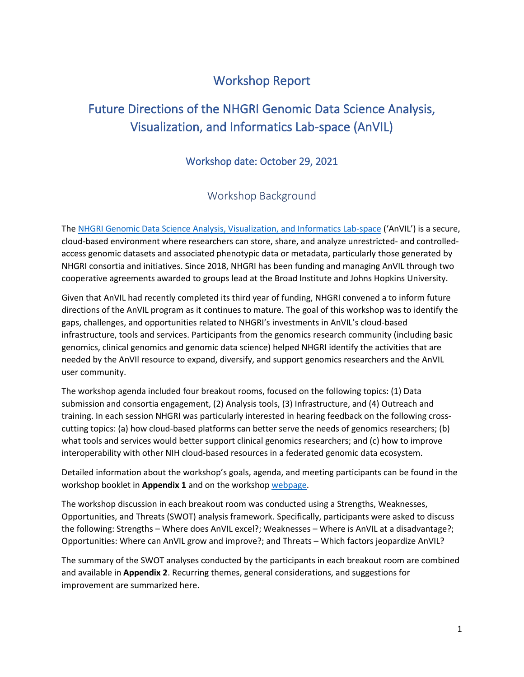# Workshop Report

# Future Directions of the NHGRI Genomic Data Science Analysis, Visualization, and Informatics Lab-space (AnVIL)

# Workshop date: October 29, 2021

# Workshop Background

The [NHGRI Genomic Data Science Analysis, Visualization, and Informatics Lab-space](https://anvilproject.org/) ('AnVIL') is a secure, cloud-based environment where researchers can store, share, and analyze unrestricted- and controlledaccess genomic datasets and associated phenotypic data or metadata, particularly those generated by NHGRI consortia and initiatives. Since 2018, NHGRI has been funding and managing AnVIL through two cooperative agreements awarded to groups lead at the Broad Institute and Johns Hopkins University.

Given that AnVIL had recently completed its third year of funding, NHGRI convened a to inform future directions of the AnVIL program as it continues to mature. The goal of this workshop was to identify the gaps, challenges, and opportunities related to NHGRI's investments in AnVIL's cloud-based infrastructure, tools and services. Participants from the genomics research community (including basic genomics, clinical genomics and genomic data science) helped NHGRI identify the activities that are needed by the AnVIl resource to expand, diversify, and support genomics researchers and the AnVIL user community.

The workshop agenda included four breakout rooms, focused on the following topics: (1) Data submission and consortia engagement, (2) Analysis tools, (3) Infrastructure, and (4) Outreach and training. In each session NHGRI was particularly interested in hearing feedback on the following crosscutting topics: (a) how cloud-based platforms can better serve the needs of genomics researchers; (b) what tools and services would better support clinical genomics researchers; and (c) how to improve interoperability with other NIH cloud-based resources in a federated genomic data ecosystem.

Detailed information about the workshop's goals, agenda, and meeting participants can be found in the workshop booklet in **Appendix 1** and on the worksho[p webpage.](https://www.genome.gov/event-calendar/Future-Directions-of-the-NHGRI-Analysis-Visualization-and-Informatics-Lab-Space-AnVIL)

The workshop discussion in each breakout room was conducted using a Strengths, Weaknesses, Opportunities, and Threats (SWOT) analysis framework. Specifically, participants were asked to discuss the following: Strengths – Where does AnVIL excel?; Weaknesses – Where is AnVIL at a disadvantage?; Opportunities: Where can AnVIL grow and improve?; and Threats – Which factors jeopardize AnVIL?

The summary of the SWOT analyses conducted by the participants in each breakout room are combined and available in **Appendix 2**. Recurring themes, general considerations, and suggestions for improvement are summarized here.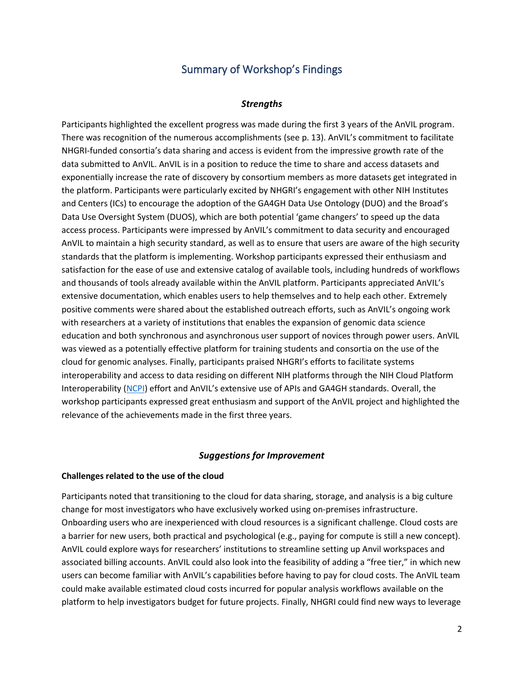# Summary of Workshop's Findings

### *Strengths*

Participants highlighted the excellent progress was made during the first 3 years of the AnVIL program. There was recognition of the numerous accomplishments (see p. 13). AnVIL's commitment to facilitate NHGRI-funded consortia's data sharing and access is evident from the impressive growth rate of the data submitted to AnVIL. AnVIL is in a position to reduce the time to share and access datasets and exponentially increase the rate of discovery by consortium members as more datasets get integrated in the platform. Participants were particularly excited by NHGRI's engagement with other NIH Institutes and Centers (ICs) to encourage the adoption of the GA4GH Data Use Ontology (DUO) and the Broad's Data Use Oversight System (DUOS), which are both potential 'game changers' to speed up the data access process. Participants were impressed by AnVIL's commitment to data security and encouraged AnVIL to maintain a high security standard, as well as to ensure that users are aware of the high security standards that the platform is implementing. Workshop participants expressed their enthusiasm and satisfaction for the ease of use and extensive catalog of available tools, including hundreds of workflows and thousands of tools already available within the AnVIL platform. Participants appreciated AnVIL's extensive documentation, which enables users to help themselves and to help each other. Extremely positive comments were shared about the established outreach efforts, such as AnVIL's ongoing work with researchers at a variety of institutions that enables the expansion of genomic data science education and both synchronous and asynchronous user support of novices through power users. AnVIL was viewed as a potentially effective platform for training students and consortia on the use of the cloud for genomic analyses. Finally, participants praised NHGRI's efforts to facilitate systems interoperability and access to data residing on different NIH platforms through the NIH Cloud Platform Interoperability [\(NCPI\)](https://datascience.nih.gov/nih-cloud-platform-interoperability-effort) effort and AnVIL's extensive use of APIs and GA4GH standards. Overall, the workshop participants expressed great enthusiasm and support of the AnVIL project and highlighted the relevance of the achievements made in the first three years.

### *Suggestions for Improvement*

### **Challenges related to the use of the cloud**

Participants noted that transitioning to the cloud for data sharing, storage, and analysis is a big culture change for most investigators who have exclusively worked using on-premises infrastructure. Onboarding users who are inexperienced with cloud resources is a significant challenge. Cloud costs are a barrier for new users, both practical and psychological (e.g., paying for compute is still a new concept). AnVIL could explore ways for researchers' institutions to streamline setting up Anvil workspaces and associated billing accounts. AnVIL could also look into the feasibility of adding a "free tier," in which new users can become familiar with AnVIL's capabilities before having to pay for cloud costs. The AnVIL team could make available estimated cloud costs incurred for popular analysis workflows available on the platform to help investigators budget for future projects. Finally, NHGRI could find new ways to leverage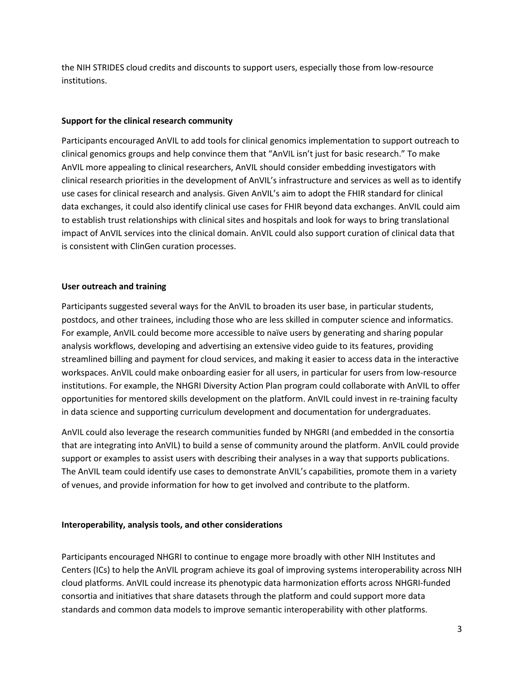the NIH STRIDES cloud credits and discounts to support users, especially those from low-resource institutions.

### **Support for the clinical research community**

Participants encouraged AnVIL to add tools for clinical genomics implementation to support outreach to clinical genomics groups and help convince them that "AnVIL isn't just for basic research." To make AnVIL more appealing to clinical researchers, AnVIL should consider embedding investigators with clinical research priorities in the development of AnVIL's infrastructure and services as well as to identify use cases for clinical research and analysis. Given AnVIL's aim to adopt the FHIR standard for clinical data exchanges, it could also identify clinical use cases for FHIR beyond data exchanges. AnVIL could aim to establish trust relationships with clinical sites and hospitals and look for ways to bring translational impact of AnVIL services into the clinical domain. AnVIL could also support curation of clinical data that is consistent with ClinGen curation processes.

## **User outreach and training**

Participants suggested several ways for the AnVIL to broaden its user base, in particular students, postdocs, and other trainees, including those who are less skilled in computer science and informatics. For example, AnVIL could become more accessible to naïve users by generating and sharing popular analysis workflows, developing and advertising an extensive video guide to its features, providing streamlined billing and payment for cloud services, and making it easier to access data in the interactive workspaces. AnVIL could make onboarding easier for all users, in particular for users from low-resource institutions. For example, the NHGRI Diversity Action Plan program could collaborate with AnVIL to offer opportunities for mentored skills development on the platform. AnVIL could invest in re-training faculty in data science and supporting curriculum development and documentation for undergraduates.

AnVIL could also leverage the research communities funded by NHGRI (and embedded in the consortia that are integrating into AnVIL) to build a sense of community around the platform. AnVIL could provide support or examples to assist users with describing their analyses in a way that supports publications. The AnVIL team could identify use cases to demonstrate AnVIL's capabilities, promote them in a variety of venues, and provide information for how to get involved and contribute to the platform.

### **Interoperability, analysis tools, and other considerations**

Participants encouraged NHGRI to continue to engage more broadly with other NIH Institutes and Centers (ICs) to help the AnVIL program achieve its goal of improving systems interoperability across NIH cloud platforms. AnVIL could increase its phenotypic data harmonization efforts across NHGRI-funded consortia and initiatives that share datasets through the platform and could support more data standards and common data models to improve semantic interoperability with other platforms.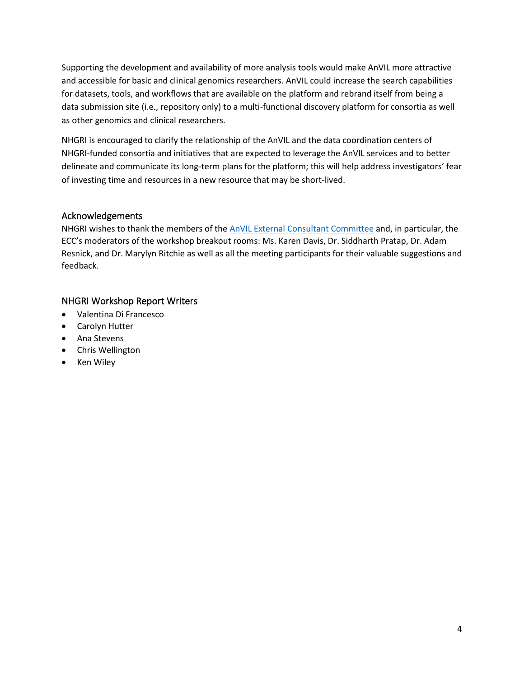Supporting the development and availability of more analysis tools would make AnVIL more attractive and accessible for basic and clinical genomics researchers. AnVIL could increase the search capabilities for datasets, tools, and workflows that are available on the platform and rebrand itself from being a data submission site (i.e., repository only) to a multi-functional discovery platform for consortia as well as other genomics and clinical researchers.

NHGRI is encouraged to clarify the relationship of the AnVIL and the data coordination centers of NHGRI-funded consortia and initiatives that are expected to leverage the AnVIL services and to better delineate and communicate its long-term plans for the platform; this will help address investigators' fear of investing time and resources in a new resource that may be short-lived.

# Acknowledgements

NHGRI wishes to thank the members of the [AnVIL External Consultant](https://www.genome.gov/Funded-Programs-Projects/Computational-Genomics-and-Data-Science-Program/Genomic-Analysis-Visualization-Informatics-Lab-space-AnVIL#externalconsultantcommittee) Committee and, in particular, the ECC's moderators of the workshop breakout rooms: Ms. Karen Davis, Dr. Siddharth Pratap, Dr. Adam Resnick, and Dr. Marylyn Ritchie as well as all the meeting participants for their valuable suggestions and feedback.

# NHGRI Workshop Report Writers

- Valentina Di Francesco
- Carolyn Hutter
- Ana Stevens
- Chris Wellington
- Ken Wiley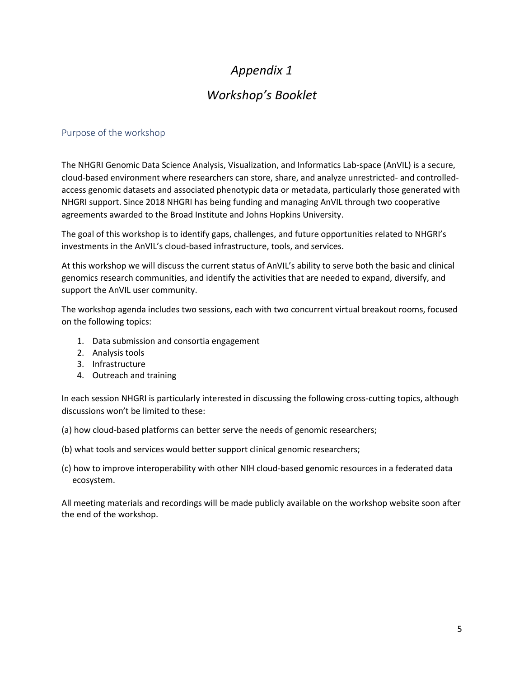# *Appendix 1*

# *Workshop's Booklet*

## Purpose of the workshop

The NHGRI Genomic Data Science Analysis, Visualization, and Informatics Lab-space (AnVIL) is a secure, cloud-based environment where researchers can store, share, and analyze unrestricted- and controlledaccess genomic datasets and associated phenotypic data or metadata, particularly those generated with NHGRI support. Since 2018 NHGRI has being funding and managing AnVIL through two cooperative agreements awarded to the Broad Institute and Johns Hopkins University.

The goal of this workshop is to identify gaps, challenges, and future opportunities related to NHGRI's investments in the AnVIL's cloud-based infrastructure, tools, and services.

At this workshop we will discuss the current status of AnVIL's ability to serve both the basic and clinical genomics research communities, and identify the activities that are needed to expand, diversify, and support the AnVIL user community.

The workshop agenda includes two sessions, each with two concurrent virtual breakout rooms, focused on the following topics:

- 1. Data submission and consortia engagement
- 2. Analysis tools
- 3. Infrastructure
- 4. Outreach and training

In each session NHGRI is particularly interested in discussing the following cross-cutting topics, although discussions won't be limited to these:

- (a) how cloud-based platforms can better serve the needs of genomic researchers;
- (b) what tools and services would better support clinical genomic researchers;
- (c) how to improve interoperability with other NIH cloud-based genomic resources in a federated data ecosystem.

All meeting materials and recordings will be made publicly available on the workshop website soon after the end of the workshop.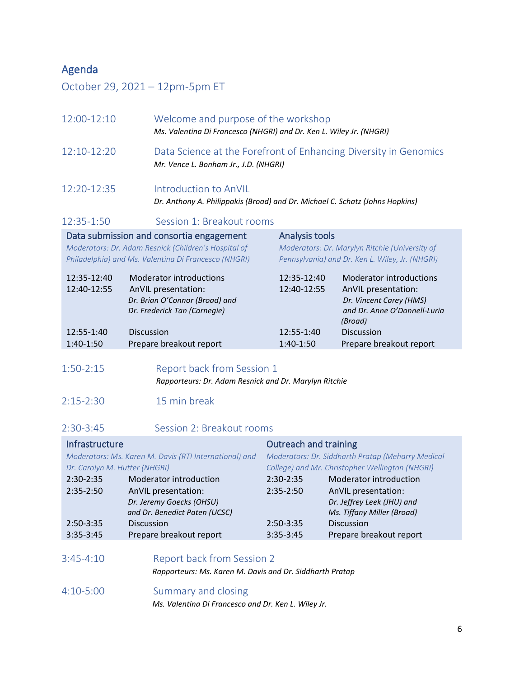# Agenda

October 29, 2021 – 12pm-5pm ET

| 12:00-12:10   | Welcome and purpose of the workshop<br>Ms. Valentina Di Francesco (NHGRI) and Dr. Ken L. Wiley Jr. (NHGRI) |
|---------------|------------------------------------------------------------------------------------------------------------|
| $12:10-12:20$ | Data Science at the Forefront of Enhancing Diversity in Genomics<br>Mr. Vence L. Bonham Jr., J.D. (NHGRI)  |
| $12:20-12:35$ | Introduction to AnVIL                                                                                      |

*Dr. Anthony A. Philippakis (Broad) and Dr. Michael C. Schatz (Johns Hopkins)*

Analysis tools

# 12:35-1:50 Session 1: Breakout rooms

### Data submission and consortia engagement

*Moderators: Dr. Adam Resnick (Children's Hospital of Philadelphia) and Ms. Valentina Di Francesco (NHGRI)* *Moderators: Dr. Marylyn Ritchie (University of Pennsylvania) and Dr. Ken L. Wiley, Jr. (NHGRI)*

| 12:35-12:40 | <b>Moderator introductions</b> | 12:35-12:40 | <b>Moderator introductions</b> |
|-------------|--------------------------------|-------------|--------------------------------|
| 12:40-12:55 | AnVIL presentation:            | 12:40-12:55 | AnVIL presentation:            |
|             | Dr. Brian O'Connor (Broad) and |             | Dr. Vincent Carey (HMS)        |
|             | Dr. Frederick Tan (Carnegie)   |             | and Dr. Anne O'Donnell-Luria   |
|             |                                |             | (Broad)                        |
| 12:55-1:40  | <b>Discussion</b>              | 12:55-1:40  | <b>Discussion</b>              |
| $1:40-1:50$ | Prepare breakout report        | $1:40-1:50$ | Prepare breakout report        |
|             |                                |             |                                |

# 1:50-2:15 Report back from Session 1  *Rapporteurs: Dr. Adam Resnick and Dr. Marylyn Ritchie*

- 2:15-2:30 15 min break
- 2:30-3:45 Session 2: Breakout rooms

#### **Infrastructure** *Moderators: Ms. Karen M. Davis (RTI International) and Dr. Carolyn M. Hutter (NHGRI)* 2:30-2:35 Moderator introduction 2:35-2:50 AnVIL presentation:  *Dr. Jeremy Goecks (OHSU) aaaaaaaaaaaaa and Dr. Benedict Paten (UCSC)* 2:50-3:35 Discussion 3:35-3:45 Prepare breakout report Outreach and training *Moderators: Dr. Siddharth Pratap (Meharry Medical College) and Mr. Christopher Wellington (NHGRI)* 2:30-2:35 Moderator introduction 2:35-2:50 AnVIL presentation:  *Dr. Jeffrey Leek (JHU) and Ms. Tiffany Miller (Broad)* 2:50-3:35 Discussion 3:35-3:45 Prepare breakout report

| $3:45 - 4:10$ | Report back from Session 2                               |
|---------------|----------------------------------------------------------|
|               | Rapporteurs: Ms. Karen M. Davis and Dr. Siddharth Pratap |
|               |                                                          |

# 4:10-5:00 Summary and closing

 *Ms. Valentina Di Francesco and Dr. Ken L. Wiley Jr.*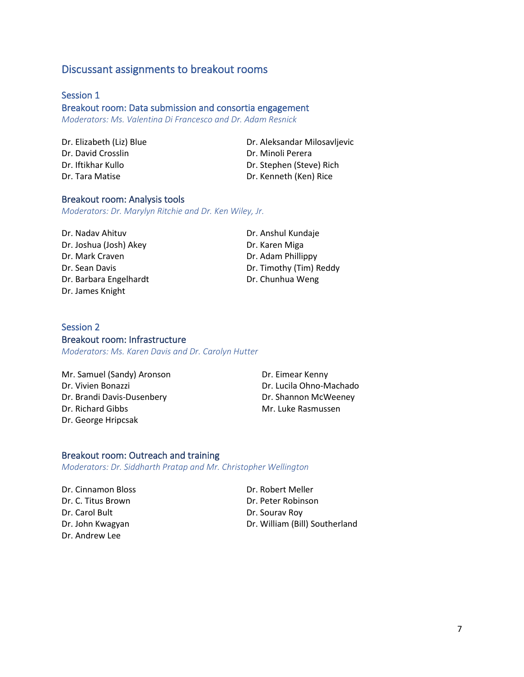# Discussant assignments to breakout rooms

## Session 1

### Breakout room: Data submission and consortia engagement

*Moderators: Ms. Valentina Di Francesco and Dr. Adam Resnick*

Dr. David Crosslin Dr. Minoli Perera

Dr. Elizabeth (Liz) Blue Dr. Aleksandar Milosavljevic Dr. Iftikhar Kullo Dr. Stephen (Steve) Rich Dr. Tara Matise Dr. Kenneth (Ken) Rice

### Breakout room: Analysis tools

*Moderators: Dr. Marylyn Ritchie and Dr. Ken Wiley, Jr.*

Dr. Nadav Ahituv  Dr. Anshul Kundaje Dr. Joshua (Josh) Akey Dr. Karen Miga Dr. Mark Craven **Dr. Adam** Phillippy Dr. Barbara Engelhardt Dr. Chunhua Weng Dr. James Knight

Dr. Sean Davis **Dr. Timothy (Tim) Reddy** 

### Session 2 Breakout room: Infrastructure

*Moderators: Ms. Karen Davis and Dr. Carolyn Hutter*

Mr. Samuel (Sandy) Aronson Dr. Eimear Kenny Dr. Vivien Bonazzi  Dr. Lucila Ohno-Machado Dr. Brandi Davis-Dusenbery
Br. Shannon McWeeney Dr. Richard Gibbs Mr. Luke Rasmussen Dr. George Hripcsak

### Breakout room: Outreach and training

*Moderators: Dr. Siddharth Pratap and Mr. Christopher Wellington*

Dr. Cinnamon Bloss  Dr. Robert Meller Dr. Carol Bult Dr. Sourav Roy Dr. Andrew Lee

Dr. C. Titus Brown Dr. Peter Robinson Dr. John Kwagyan Dr. William (Bill) Southerland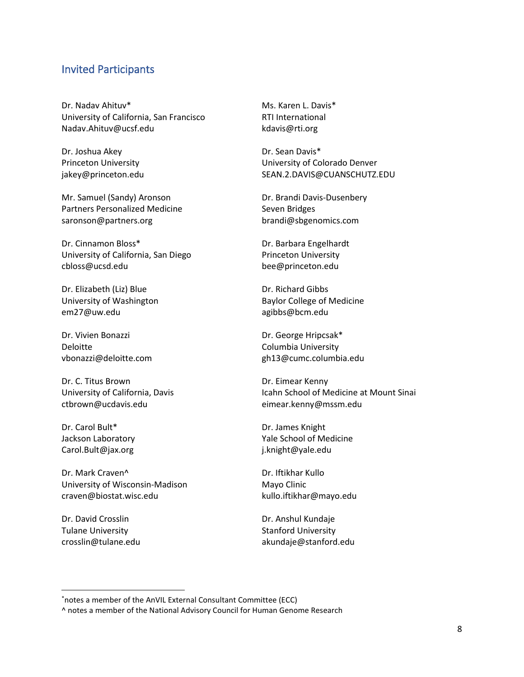# Invited Participants

Dr. Nadav Ahituv\* [University of California, San Francisco](https://profiles.ucsf.edu/nadav.ahituv) [Nadav.Ahituv@ucsf.edu](mailto:Nadav.Ahituv@ucsf.edu)

Dr. Joshua Akey [Princeton University](https://lsi.princeton.edu/joshua-akey) [jakey@princeton.edu](mailto:Jakey@princeton.edu)

Mr. Samuel (Sandy) Aronson [Partners Personalized Medicine](https://personalizedmedicine.partners.org/About/Leadership-Team/Samuel-Aronson.aspx) [saronson@partners.org](mailto:saronson@partners.org)

Dr. Cinnamon Bloss\* [University of California, San Diego](https://profiles.ucsd.edu/cinnamon.bloss) [cbloss@ucsd.edu](mailto:cbloss@ucsd.edu)

Dr. Elizabeth (Liz) Blue [University of Washington](https://medgen.uw.edu/faculty/elizabeth-blue-phd) [em27@uw.edu](mailto:em27@uw.edu)

Dr. Vivien Bonazzi [Deloitte](https://www.linkedin.com/in/vivien-bonazzi-b06298/) [vbonazzi@deloitte.com](mailto:vbonazzi@deloitte.com)

Dr. C. Titus Brown [University of California, Davis](https://biology.ucdavis.edu/people/c-titus-brown) [ctbrown@ucdavis.edu](mailto:ctbrown@ucdavis.edu)

Dr. Carol Bult\* [Jackson Laboratory](https://www.jax.org/research-and-faculty/faculty/carol-bult) [Carol.Bult@jax.org](mailto:Carol.Bult@jax.org)

Dr. Mark Craven^ [University of Wisconsin-Madison](https://www.biostat.wisc.edu/~craven/) [craven@biostat.wisc.edu](mailto:craven@biostat.wisc.edu)

Dr. David Crosslin Tulan[e University](http://bime.uw.edu/faculty/david-crosslin/) [crosslin@tulane.edu](mailto:crosslin@tulane.edu) Ms. Karen L. Davis\* [RTI International](https://www.rti.org/expert/karen-m-davis) [kdavis@rti.org](mailto:kdavis@rti.org)

Dr. Sean Davis\* [University of Colorado Denver](https://profiles.ucdenver.edu/display/28470720) [SEAN.2.DAVIS@CUANSCHUTZ.EDU](mailto:SEAN.2.DAVIS@CUANSCHUTZ.EDU)

Dr. Brandi Davis-Dusenbery [Seven Bridges](https://www.sevenbridges.com/team/brandi-davis-dusenbery/) [brandi@sbgenomics.com](mailto:brandi@sbgenomics.com)

Dr. Barbara Engelhardt [Princeton University](https://www.cs.princeton.edu/people/profile/bee) [bee@princeton.edu](mailto:bee@princeton.edu)

Dr. Richard Gibbs [Baylor College of Medicine](https://www.bcm.edu/people-search/richard-gibbs-22009) [agibbs@bcm.edu](mailto:agibbs@bcm.edu)

Dr. George Hripcsak\* [Columbia University](https://www.dbmi.columbia.edu/profile/george-hripcsak/) [gh13@cumc.columbia.edu](mailto:gh13@cumc.columbia.edu)

Dr. Eimear Kenny [Icahn School of Medicine at Mount Sinai](https://icahn.mssm.edu/profiles/eimear-kenny) [eimear.kenny@mssm.edu](mailto:eimear.kenny@mssm.edu)

Dr. James Knight [Yale School of Medicine](https://medicine.yale.edu/profile/j_knight/) [j.knight@yale.edu](mailto:j.knight@yale.edu)

Dr. Iftikhar Kullo [Mayo Clinic](https://www.mayo.edu/research/faculty/kullo-iftikhar-j-m-d/bio-00084951) [kullo.iftikhar@mayo.edu](mailto:kullo.iftikhar@mayo.edu)

Dr. Anshul Kundaje [Stanford University](https://profiles.stanford.edu/anshul-kundaje) [akundaje@stanford.edu](mailto:akundaje@stanford.edu)

<sup>\*</sup>notes a member of the AnVIL External Consultant Committee (ECC)

<sup>^</sup> notes a member of the National Advisory Council for Human Genome Research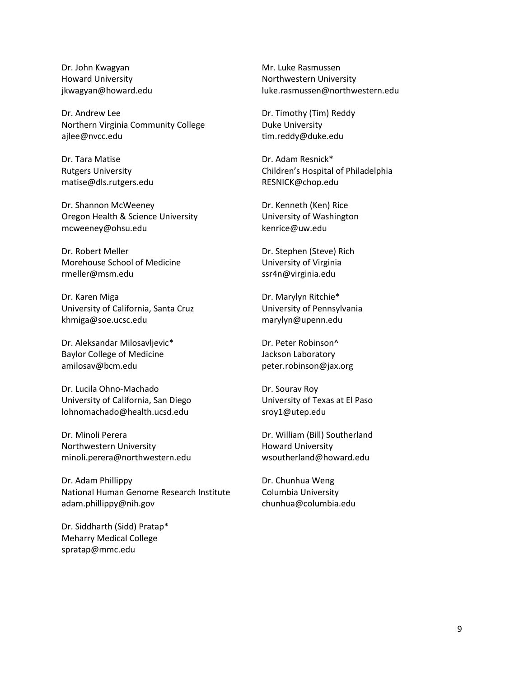Dr. John Kwagyan [Howard University](https://www.linkedin.com/in/john-kwagyan-phd-53884a28/) [jkwagyan@howard.edu](mailto:jkwagyan@howard.edu)

Dr. Andrew Lee [Northern Virginia Community College](https://blogs.nvcc.edu/ajlee/) [ajlee@nvcc.edu](mailto:ajlee@nvcc.edu)

Dr. Tara Matise [Rutgers University](https://genetics.rutgers.edu/component/comprofiler/userprofile/matise?Itemid=101) [matise@dls.rutgers.edu](mailto:matise@dls.rutgers.edu)

Dr. Shannon McWeeney [Oregon Health & Science University](https://www.ohsu.edu/people/shannon-mcweeney-phd) [mcweeney@ohsu.edu](mailto:mcweeney@ohsu.edu)

Dr. Robert Meller [Morehouse School of Medicine](https://www.msm.edu/about_us/FacultyDirectory/Neurobiology/RobertMeller/index.php) [rmeller@msm.edu](mailto:rmeller@msm.edu)

Dr. Karen Miga [University of California, Santa Cruz](https://www.soe.ucsc.edu/people/khmiga) [khmiga@soe.ucsc.edu](mailto:khmiga@soe.ucsc.edu)

Dr. Aleksandar Milosavljevic\* [Baylor College of Medicine](https://www.bcm.edu/people-search/aleksandar-milosavljevic-26808) [amilosav@bcm.edu](mailto:amilosav@bcm.edu)

Dr. Lucila Ohno-Machado [University of California, San Diego](https://profiles.ucsd.edu/lucila.ohno-machado) [lohnomachado@health.ucsd.edu](mailto:lohnomachado@health.ucsd.edu)

Dr. Minoli Perera [Northwestern University](https://www.feinberg.northwestern.edu/faculty-profiles/az/profile.html?xid=35443) [minoli.perera@northwestern.edu](mailto:minoli.perera@northwestern.edu)

Dr. Adam Phillippy [National Human Genome Research Institute](https://www.genome.gov/staff/Adam-M-Phillippy-PhD) [adam.phillippy@nih.gov](mailto:adam.phillippy@nih.gov)

Dr. Siddharth (Sidd) Pratap\* [Meharry Medical College](https://www.vumc.org/dbmi/person/siddharth-pratap-phd-ms) [spratap@mmc.edu](mailto:spratap@mmc.edu)

Mr. Luke Rasmussen [Northwestern University](https://www.linkedin.com/in/lukevrasmussen/) [luke.rasmussen@northwestern.edu](mailto:luke.rasmussen@northwestern.edu)

Dr. Timothy (Tim) Reddy [Duke University](https://genome.duke.edu/directory/cbb-faculty-gcb-faculty/tim-reddy-phd) [tim.reddy@duke.edu](mailto:tim.reddy@duke.edu)

Dr. Adam Resnick\* Children'[s Hospital of Philadelphia](https://www.research.chop.edu/people/adam-c-resnick) [RESNICK@chop.edu](mailto:RESNICK@chop.edu)

Dr. Kenneth (Ken) Rice [University of Washington](http://faculty.washington.edu/kenrice/) [kenrice@uw.edu](mailto:kenrice@uw.edu)

Dr. Stephen (Steve) Rich [University of Virginia](https://med.virginia.edu/cphg/stephen-s-rich/) [ssr4n@virginia.edu](mailto:ssr4n@virginia.edu)

Dr. Marylyn Ritchie\* [University of Pennsylvania](https://www.med.upenn.edu/pcpm/marylyn-d-ritchie-phd.html) [marylyn@upenn.edu](mailto:marylyn@upenn.edu)

Dr. Peter Robinson^ [Jackson Laboratory](https://www.jax.org/research-and-faculty/faculty/peter-robinson) [peter.robinson@jax.org](mailto:peter.robinson@jax.org)

Dr. Sourav Roy [University of Texas at El Paso](https://hb2504.utep.edu/Home/Profile?username=sroy1) [sroy1@utep.edu](mailto:sroy1@utep.edu)

Dr. William (Bill) Southerland [Howard University](http://connect.rtrn.net/profiles/display/94541) [wsoutherland@howard.edu](mailto:wsoutherland@howard.edu)

Dr. Chunhua Weng [Columbia University](https://people.dbmi.columbia.edu/~chw7007/) [chunhua@columbia.edu](mailto:chunhua@columbia.edu)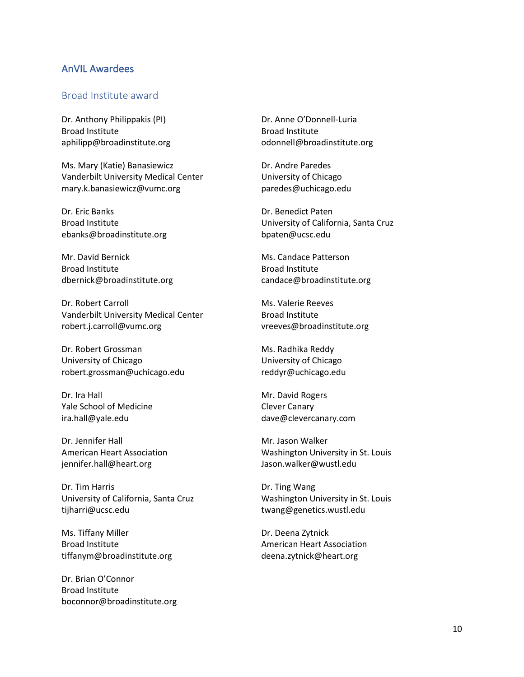## AnVIL Awardees

## Broad Institute award

Dr. Anthony Philippakis (PI) Broad Institute  aphilipp@broadinstitute.org 

Ms. Mary (Katie) Banasiewicz  Vanderbilt University Medical Center  [mary.k.banasiewicz@vumc.org](mailto:mary.k.banasiewicz@vumc.org)

Dr. Eric Banks  Broad Institute  [ebanks@broadinstitute.org](mailto:ebanks@broadinstitute.org)

Mr. David Bernick  Broad Institute  [dbernick@broadinstitute.org](mailto:dbernick@broadinstitute.org)

Dr. Robert Carroll  Vanderbilt University Medical Center  [robert.j.carroll@vumc.org](mailto:robert.j.carroll@vumc.org)

Dr. Robert Grossman  University of Chicago  [robert.grossman@uchicago.edu](mailto:robert.grossman@uchicago.edu)

Dr. Ira Hall  Yale School of Medicine  [ira.hall@yale.edu](mailto:ira.hall@yale.edu)

Dr. Jennifer Hall  American Heart Association  jennifer.hall@heart.org

Dr. Tim Harris University of California, Santa Cruz [tijharri@ucsc.edu](mailto:tijharri@ucsc.edu)

Ms. Tiffany Miller Broad Institute tiffanym@broadinstitute.org

Dr. Brian O'Connor Broad Institute  boconnor@broadinstitute.org  Dr. Anne O'Donnell-Luria  Broad Institute  odonnell@broadinstitute.org 

Dr. Andre Paredes  University of Chicago  paredes@uchicago.edu 

Dr. Benedict Paten  University of California, Santa Cruz  bpaten@ucsc.edu 

Ms. Candace Patterson  Broad Institute  candace@broadinstitute.org 

Ms. Valerie Reeves  Broad Institute  vreeves@broadinstitute.org 

Ms. Radhika Reddy  University of Chicago [reddyr@uchicago.edu](mailto:reddyr@uchicago.edu)

Mr. David Rogers  Clever Canary  dave@clevercanary.com 

Mr. Jason Walker  Washington University in St. Louis  Jason.walker@wustl.edu

Dr. Ting Wang  Washington University in St. Louis  twang@genetics.wustl.edu

Dr. Deena Zytnick American Heart Association deena.zytnick@heart.org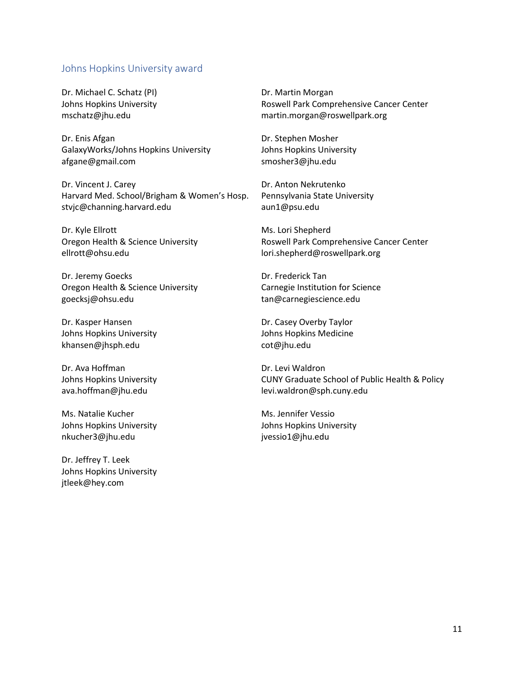### Johns Hopkins University award

Dr. Michael C. Schatz (PI) Johns Hopkins University  mschatz@jhu.edu 

Dr. Enis Afgan  GalaxyWorks/Johns Hopkins University  [afgane@gmail.com](mailto:afgane@gmail.com)

Dr. Vincent J. Carey  Harvard Med. School/Brigham & Women's Hosp.  [stvjc@channing.harvard.edu](mailto:stvjc@channing.harvard.edu)

Dr. Kyle Ellrott  Oregon Health & Science University  ellrott@ohsu.edu 

Dr. Jeremy Goecks  Oregon Health & Science University  [goecksj@ohsu.edu](mailto:goecksj@ohsu.edu)

Dr. Kasper Hansen  Johns Hopkins University  [khansen@jhsph.edu](mailto:khansen@jhsph.edu)

Dr. Ava Hoffman  Johns Hopkins University   [ava.hoffman@jhu.edu](mailto:ava.hoffman@jhu.edu)

Ms. Natalie Kucher  Johns Hopkins University  nkucher3@jhu.edu 

Dr. Jeffrey T. Leek  Johns Hopkins University  jtleek@hey.com 

Dr. Martin Morgan  Roswell Park Comprehensive Cancer Center  martin.morgan@roswellpark.org

Dr. Stephen Mosher  Johns Hopkins University  smosher3@jhu.edu 

Dr. Anton Nekrutenko  Pennsylvania State University  aun1@psu.edu 

Ms. Lori Shepherd  Roswell Park Comprehensive Cancer Center  lori.shepherd@roswellpark.org

Dr. Frederick Tan  Carnegie Institution for Science  tan@carnegiescience.edu 

Dr. Casey Overby Taylor  Johns Hopkins Medicine  cot@jhu.edu

Dr. Levi Waldron  CUNY Graduate School of Public Health & Policy  levi.waldron@sph.cuny.edu

Ms. Jennifer Vessio Johns Hopkins University jvessio1@jhu.edu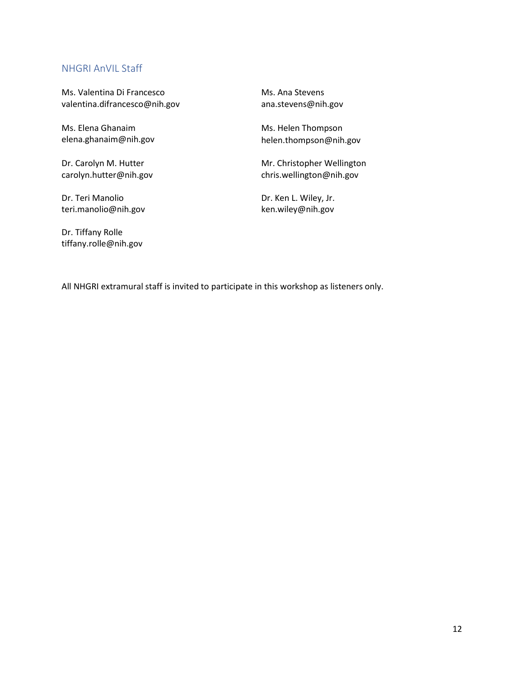## NHGRI AnVIL Staff

Ms. Valentina Di Francesco  [valentina.difrancesco@nih.gov](mailto:valentina.difrancesco@nih.gov)

Ms. Elena Ghanaim  elena.ghanaim@nih.gov

Dr. Carolyn M. Hutter carolyn.hutter@nih.gov

Dr. Teri Manolio teri.manolio@nih.gov

Dr. Tiffany Rolle tiffany.rolle@nih.gov

Ms. Ana Stevens  ana.stevens@nih.gov

Ms. Helen Thompson  helen.thompson@nih.gov

Mr. Christopher Wellington  chris.wellington@nih.gov

Dr. Ken L. Wiley, Jr.  ken.wiley@nih.gov

All NHGRI extramural staff is invited to participate in this workshop as listeners only.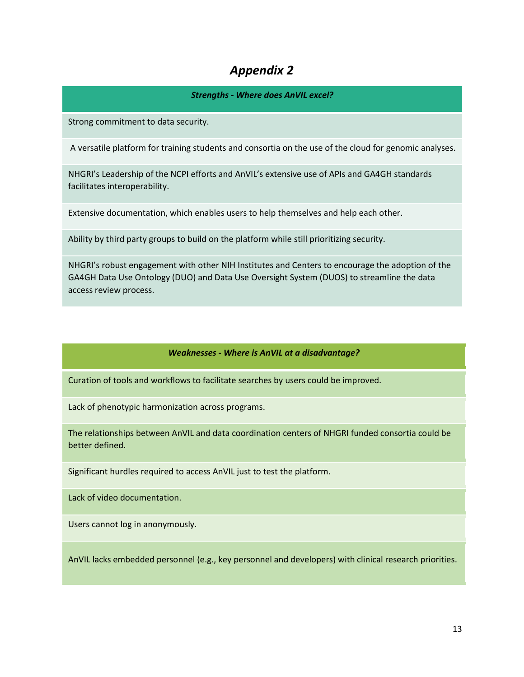# *Appendix 2*

## *Strengths - Where does AnVIL excel?*

Strong commitment to data security.

A versatile platform for training students and consortia on the use of the cloud for genomic analyses.

NHGRI's Leadership of the NCPI efforts and AnVIL's extensive use of APIs and GA4GH standards facilitates interoperability.

Extensive documentation, which enables users to help themselves and help each other.

Ability by third party groups to build on the platform while still prioritizing security.

NHGRI's robust engagement with other NIH Institutes and Centers to encourage the adoption of the GA4GH Data Use Ontology (DUO) and Data Use Oversight System (DUOS) to streamline the data access review process.

### *Weaknesses - Where is AnVIL at a disadvantage?*

Curation of tools and workflows to facilitate searches by users could be improved.

Lack of phenotypic harmonization across programs.

The relationships between AnVIL and data coordination centers of NHGRI funded consortia could be better defined.

Significant hurdles required to access AnVIL just to test the platform.

Lack of video documentation.

Users cannot log in anonymously.

AnVIL lacks embedded personnel (e.g., key personnel and developers) with clinical research priorities.